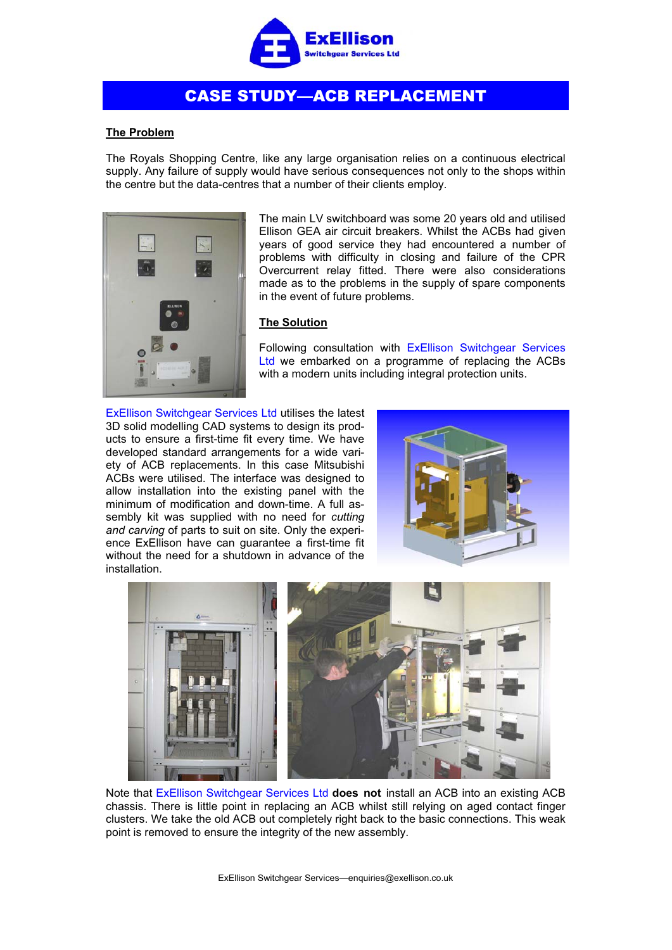

## CASE STUDY—ACB REPLACEMENT

## **The Problem**

The Royals Shopping Centre, like any large organisation relies on a continuous electrical supply. Any failure of supply would have serious consequences not only to the shops within the centre but the data-centres that a number of their clients employ.



The main LV switchboard was some 20 years old and utilised Ellison GEA air circuit breakers. Whilst the ACBs had given years of good service they had encountered a number of problems with difficulty in closing and failure of the CPR Overcurrent relay fitted. There were also considerations made as to the problems in the supply of spare components in the event of future problems.

## **The Solution**

Following consultation with ExEllison Switchgear Services Ltd we embarked on a programme of replacing the ACBs with a modern units including integral protection units.

ExEllison Switchgear Services Ltd utilises the latest 3D solid modelling CAD systems to design its products to ensure a first-time fit every time. We have developed standard arrangements for a wide variety of ACB replacements. In this case Mitsubishi ACBs were utilised. The interface was designed to allow installation into the existing panel with the minimum of modification and down-time. A full assembly kit was supplied with no need for *cutting and carving* of parts to suit on site. Only the experience ExEllison have can guarantee a first-time fit without the need for a shutdown in advance of the installation.





Note that ExEllison Switchgear Services Ltd **does not** install an ACB into an existing ACB chassis. There is little point in replacing an ACB whilst still relying on aged contact finger clusters. We take the old ACB out completely right back to the basic connections. This weak point is removed to ensure the integrity of the new assembly.